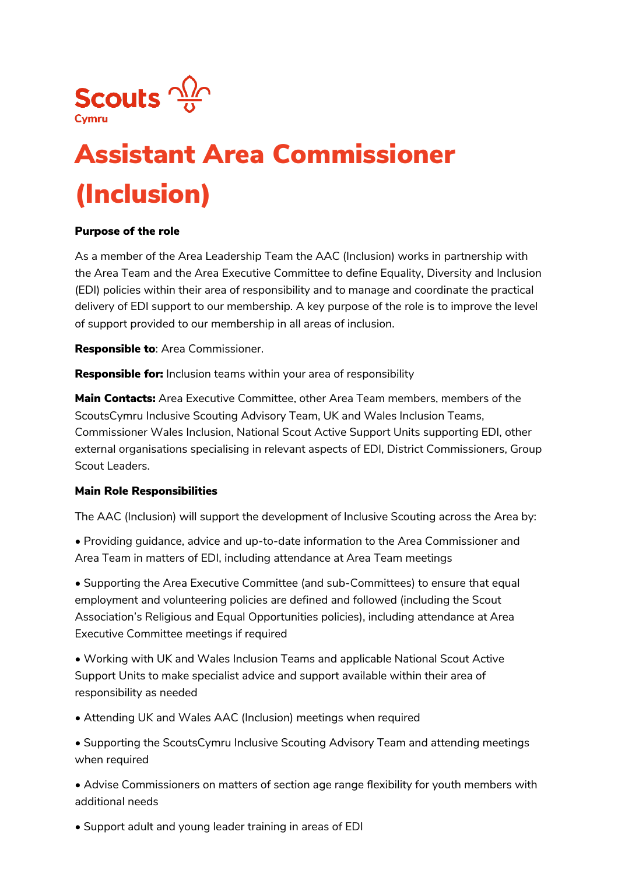

## Assistant Area Commissioner (Inclusion)

## Purpose of the role

As a member of the Area Leadership Team the AAC (Inclusion) works in partnership with the Area Team and the Area Executive Committee to define Equality, Diversity and Inclusion (EDI) policies within their area of responsibility and to manage and coordinate the practical delivery of EDI support to our membership. A key purpose of the role is to improve the level of support provided to our membership in all areas of inclusion.

**Responsible to: Area Commissioner.** 

**Responsible for:** Inclusion teams within your area of responsibility

**Main Contacts:** Area Executive Committee, other Area Team members, members of the ScoutsCymru Inclusive Scouting Advisory Team, UK and Wales Inclusion Teams, Commissioner Wales Inclusion, National Scout Active Support Units supporting EDI, other external organisations specialising in relevant aspects of EDI, District Commissioners, Group Scout Leaders.

## Main Role Responsibilities

The AAC (Inclusion) will support the development of Inclusive Scouting across the Area by:

• Providing guidance, advice and up-to-date information to the Area Commissioner and Area Team in matters of EDI, including attendance at Area Team meetings

• Supporting the Area Executive Committee (and sub-Committees) to ensure that equal employment and volunteering policies are defined and followed (including the Scout Association's Religious and Equal Opportunities policies), including attendance at Area Executive Committee meetings if required

• Working with UK and Wales Inclusion Teams and applicable National Scout Active Support Units to make specialist advice and support available within their area of responsibility as needed

• Attending UK and Wales AAC (Inclusion) meetings when required

• Supporting the ScoutsCymru Inclusive Scouting Advisory Team and attending meetings when required

• Advise Commissioners on matters of section age range flexibility for youth members with additional needs

• Support adult and young leader training in areas of EDI